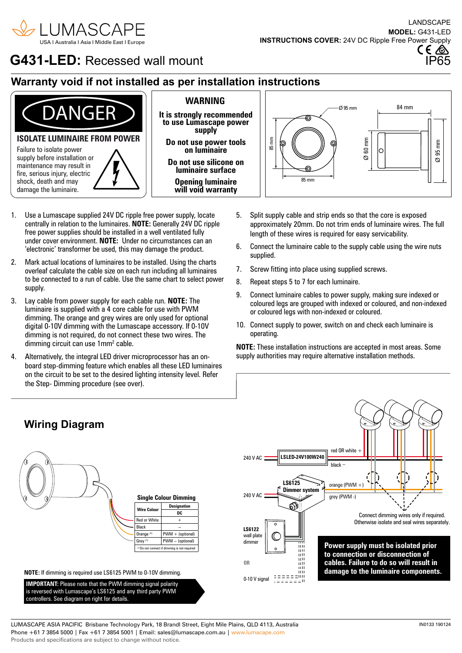

# **G431-LED:** Recessed wall mount

# **Warranty void if not installed as per installation instructions**



- 1. Use a Lumascape supplied 24V DC ripple free power supply, locate centrally in relation to the luminaires. **NOTE:** Generally 24V DC ripple free power supplies should be installed in a well ventilated fully under cover environment. **NOTE:** Under no circumstances can an 'electronic' transformer be used, this may damage the product.
- 2. Mark actual locations of luminaires to be installed. Using the charts overleaf calculate the cable size on each run including all luminaires to be connected to a run of cable. Use the same chart to select power supply.
- 3. Lay cable from power supply for each cable run. **NOTE:** The luminaire is supplied with a 4 core cable for use with PWM dimming. The orange and grey wires are only used for optional digital 0-10V dimming with the Lumascape accessory. If 0-10V dimming is not required, do not connect these two wires. The dimming circuit can use 1mm<sup>2</sup> cable.
- 4. Alternatively, the integral LED driver microprocessor has an onboard step-dimming feature which enables all these LED luminaires on the circuit to be set to the desired lighting intensity level. Refer the Step- Dimming procedure (see over).

**Wiring Diagram**

- 5. Split supply cable and strip ends so that the core is exposed approximately 20mm. Do not trim ends of luminaire wires. The full length of these wires is required for easy servicability.
- 6. Connect the luminaire cable to the supply cable using the wire nuts supplied.
- 7. Screw fitting into place using supplied screws.
- 8. Repeat steps 5 to 7 for each luminaire.
- 9. Connect luminaire cables to power supply, making sure indexed or coloured legs are grouped with indexed or coloured, and non-indexed or coloured legs with non-indexed or coloured.
- 10. Connect supply to power, switch on and check each luminaire is operating.

**NOTE:** These installation instructions are accepted in most areas. Some supply authorities may require alternative installation methods.





LUMASCAPE ASIA PACIFIC Brisbane Technology Park, 18 Brandl Street, Eight Mile Plains, QLD 4113, Australia Phone +61 7 3854 5000 | Fax +61 7 3854 5001 | Email: sales@lumascape.com.au | www.lumacape.com Products and specifications are subject to change without notice.

**MODEL:** G431-LED **INSTRUCTIONS COVER:** 24V DC Ripple Free Power Supply LANDSCAPE